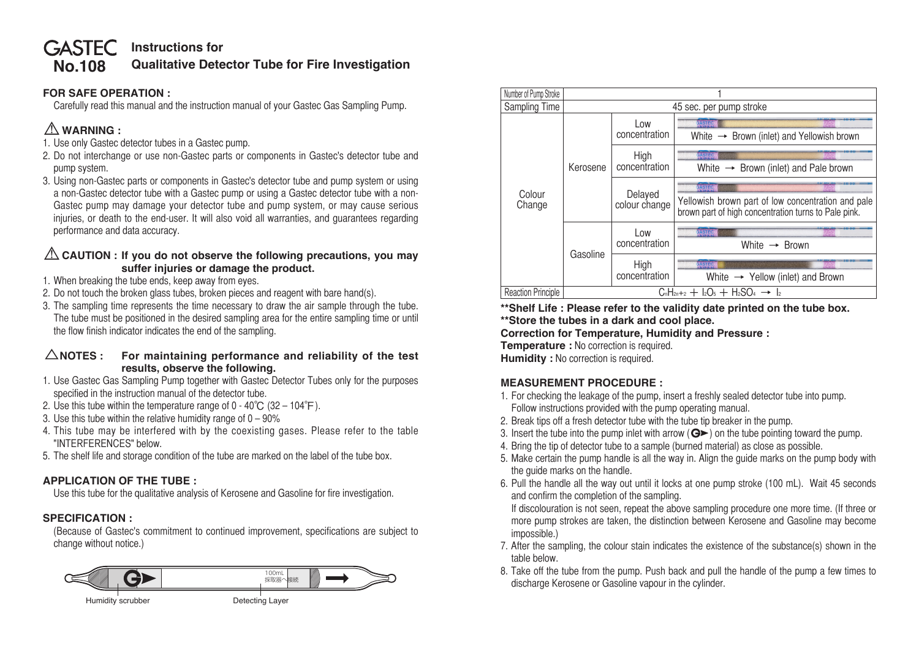### **No.108 GASTEC** Instructions for **Qualitative Detector Tube for Fire Investigation**

## **FOR SAFE OPERATION :**

 Carefully read this manual and the instruction manual of your Gastec Gas Sampling Pump.

# ⚠**WARNING :**

- 1. Use only Gastec detector tubes in a Gastec pump.
- 2. Do not interchange or use non-Gastec parts or components in Gastec's detector tube and pump system.
- 3. Using non-Gastec parts or components in Gastec's detector tube and pump system or using a non-Gastec detector tube with a Gastec pump or using a Gastec detector tube with a non-Gastec pump may damage your detector tube and pump system, or may cause serious injuries, or death to the end-user. It will also void all warranties, and guarantees regarding performance and data accuracy.

## ⚠**CAUTION : If you do not observe the following precautions, you may suffer injuries or damage the product.**

- 1. When breaking the tube ends, keep away from eyes.
- 2. Do not touch the broken glass tubes, broken pieces and reagent with bare hand(s).
- 3. The sampling time represents the time necessary to draw the air sample through the tube. The tube must be positioned in the desired sampling area for the entire sampling time or until the flow finish indicator indicates the end of the sampling.

### △**NOTES : For maintaining performance and reliability of the test results, observe the following.**

- 1. Use Gastec Gas Sampling Pump together with Gastec Detector Tubes only for the purposes specified in the instruction manual of the detector tube.
- 2. Use this tube within the temperature range of 0 40°C (32 104°F).
- 3. Use this tube within the relative humidity range of  $0 90\%$
- 4. This tube may be interfered with by the coexisting gases. Please refer to the table "INTERFERENCES" below.
- 5. The shelf life and storage condition of the tube are marked on the label of the tube box.

# **APPLICATION OF THE TUBE :**

 Use this tube for the qualitative analysis of Kerosene and Gasoline for fire investigation.

# **SPECIFICATION :**

 (Because of Gastec's commitment to continued improvement, specifications are subject to change without notice.)





**\*\*Shelf Life : Please refer to the validity date printed on the tube box. \*\*Store the tubes in a dark and cool place.**

**Correction for Temperature, Humidity and Pressure :**

**Temperature :** No correction is required.

**Humidity :** No correction is required.

# **MEASUREMENT PROCEDURE :**

- 1. For checking the leakage of the pump, insert a freshly sealed detector tube into pump. Follow instructions provided with the pump operating manual.
- 2. Break tips off a fresh detector tube with the tube tip breaker in the pump.
- 3. Insert the tube into the pump inlet with arrow ( $\mathbf{G}$ ) on the tube pointing toward the pump.
- 4. Bring the tip of detector tube to a sample (burned material) as close as possible.
- 5. Make certain the pump handle is all the way in. Align the guide marks on the pump body with the guide marks on the handle.
- 6. Pull the handle all the way out until it locks at one pump stroke (100 mL). Wait 45 seconds and confirm the completion of the sampling.

 If discolouration is not seen, repeat the above sampling procedure one more time. (If three or more pump strokes are taken, the distinction between Kerosene and Gasoline may become impossible.)

- 7. After the sampling, the colour stain indicates the existence of the substance(s) shown in the table below.
- 8. Take off the tube from the pump. Push back and pull the handle of the pump a few times to discharge Kerosene or Gasoline vapour in the cylinder.